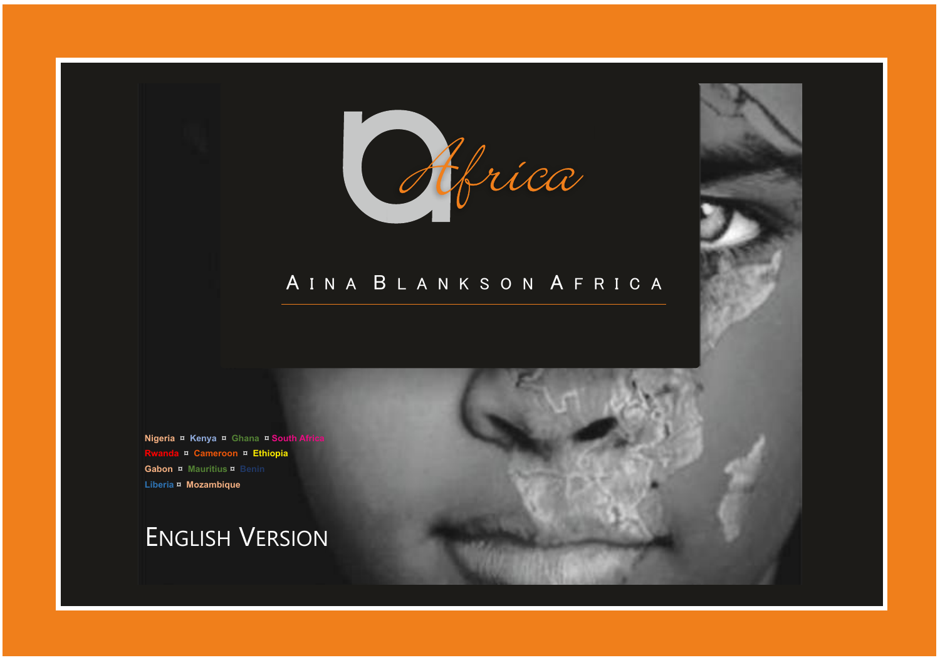

### A I N A B L A N K S O N A F R I C A

**Nigeria ¤ Kenya ¤ Ghana ¤ South A Rwanda** ¤ **Cameroon** ¤ **Ethiopia Gabon ¤ Mauritius ¤ Benin Liberia** ¤ **Mozambique**

ENGLISH VERSION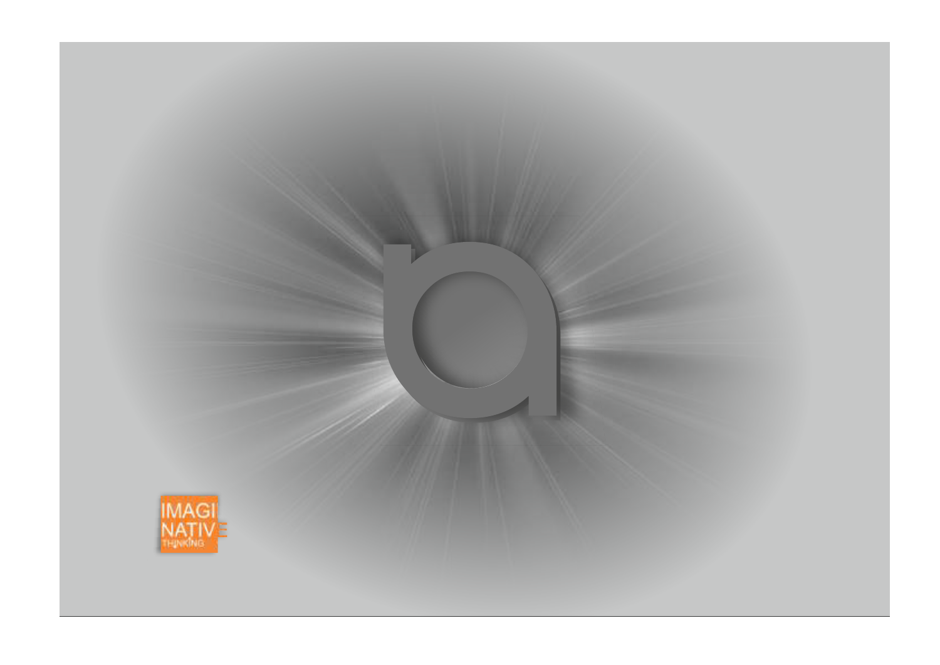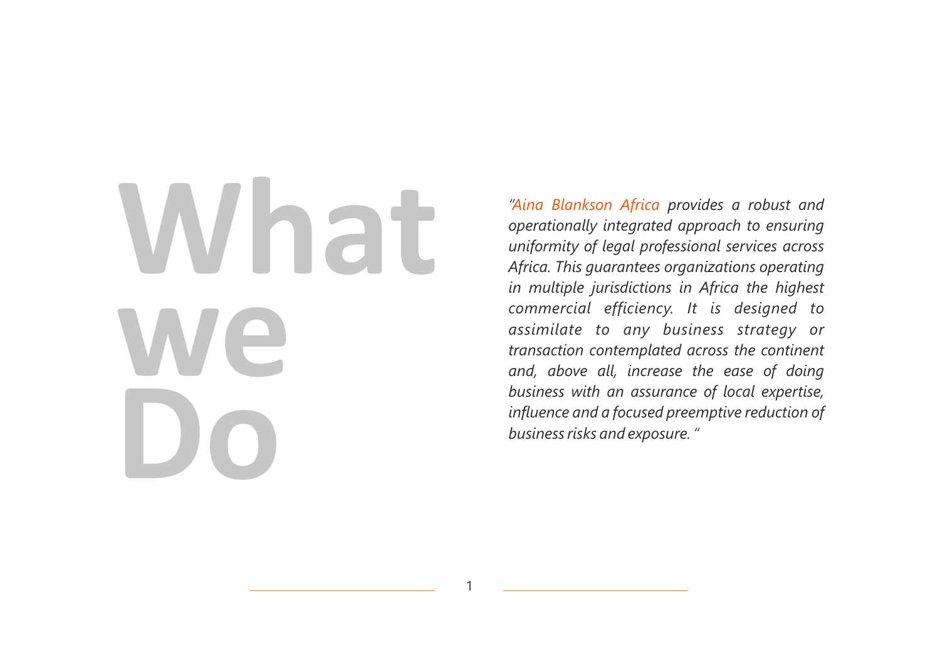# **What we Do**

"Aina Blankson Africa provides a robust and *operationally integrated approach to ensuring uniformity of legal professional services across Africa. This guarantees organizations operating in multiple jurisdictions in Africa the highest commercial efficiency. It is designed to assimilate to any business strategy or transaction contemplated across the continent and, above all, increase the ease of doing business with an assurance of local expertise, influence and a focused preemptive reduction of business risks and exposure. "*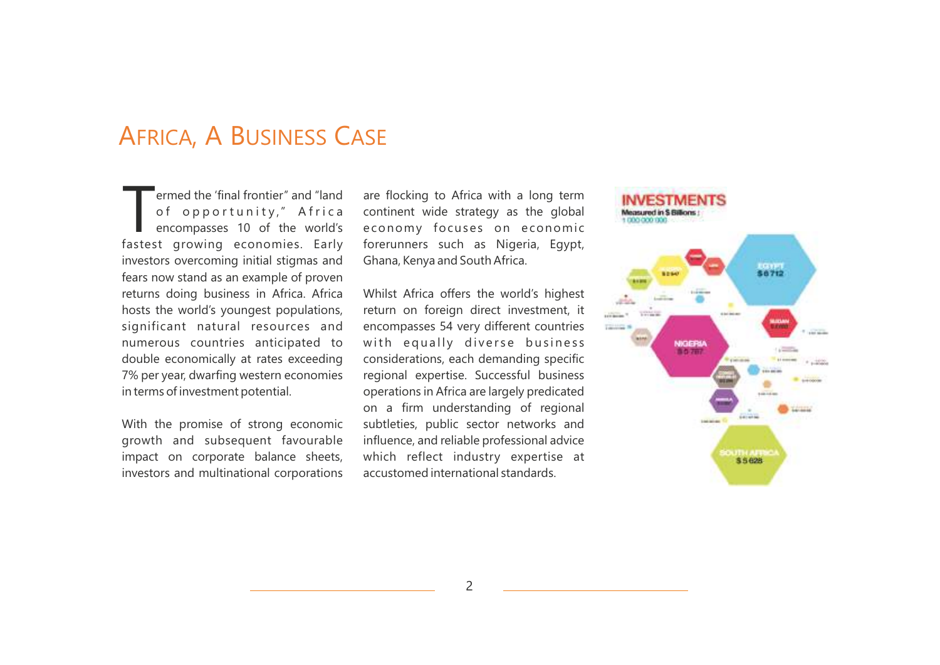### AFRICA, A BUSINESS CASE

ermed the 'final frontier" and "land<br>
of opportunity," A frica encompasses 10 of the world's fastest growing economies. Early investors overcoming initial stigmas and fears now stand as an example of proven returns doing business in Africa. Africa hosts the world's youngest populations, significant natural resources and numerous countries anticipated to double economically at rates exceeding 7% per year, dwarfing western economies in terms of investment potential.

With the promise of strong economic growth and subsequent favourable impact on corporate balance sheets, investors and multinational corporations are flocking to Africa with a long term continent wide strategy as the global economy focuses on economic forerunners such as Nigeria, Egypt, Ghana, Kenya and South Africa.

Whilst Africa offers the world's highest return on foreign direct investment, it encompasses 54 very different countries with equally diverse business considerations, each demanding specific regional expertise. Successful business operations in Africa are largely predicated on a firm understanding of regional subtleties, public sector networks and influence, and reliable professional advice which reflect industry expertise at accustomed international standards.

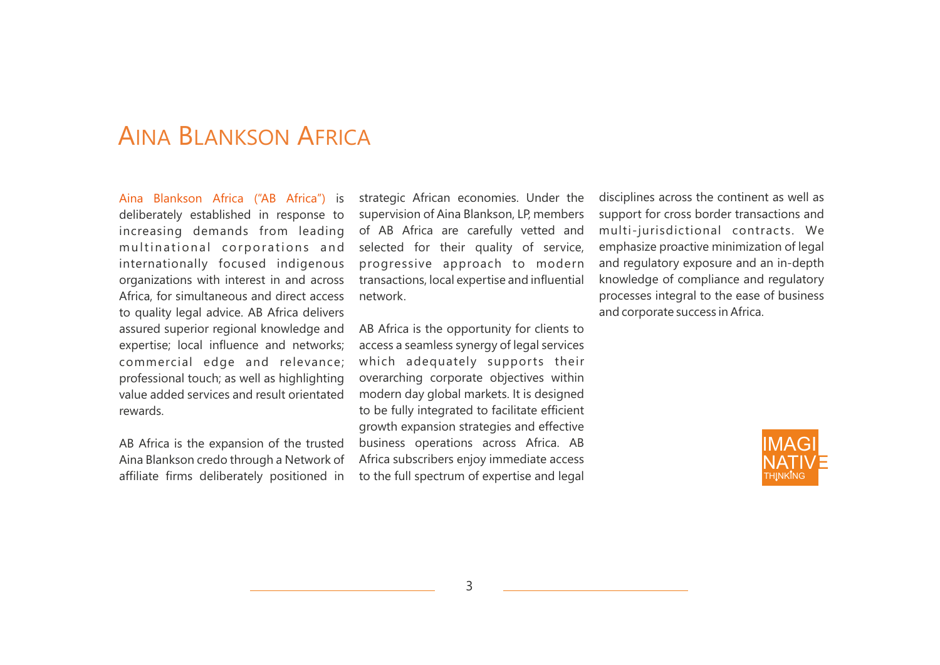### AINA BLANKSON AFRICA

Aina Blankson Africa ("AB Africa") is deliberately established in response to increasing demands from leading multinational corporations and internationally focused indigenous organizations with interest in and across Africa, for simultaneous and direct access to quality legal advice. AB Africa delivers assured superior regional knowledge and expertise; local influence and networks; commercial edge and relevance; professional touch; as well as highlighting value added services and result orientated rewards.

AB Africa is the expansion of the trusted Aina Blankson credo through a Network of affiliate firms deliberately positioned in

strategic African economies. Under the supervision of Aina Blankson, LP, members of AB Africa are carefully vetted and selected for their quality of service, progressive approach to modern transactions, local expertise and influential network.

AB Africa is the opportunity for clients to access a seamless synergy of legal services which adequately supports their overarching corporate objectives within modern day global markets. It is designed to be fully integrated to facilitate efficient growth expansion strategies and effective business operations across Africa. AB Africa subscribers enjoy immediate access to the full spectrum of expertise and legal disciplines across the continent as well as support for cross border transactions and multi-jurisdictional contracts. We emphasize proactive minimization of legal and regulatory exposure and an in-depth knowledge of compliance and regulatory processes integral to the ease of business and corporate success in Africa.

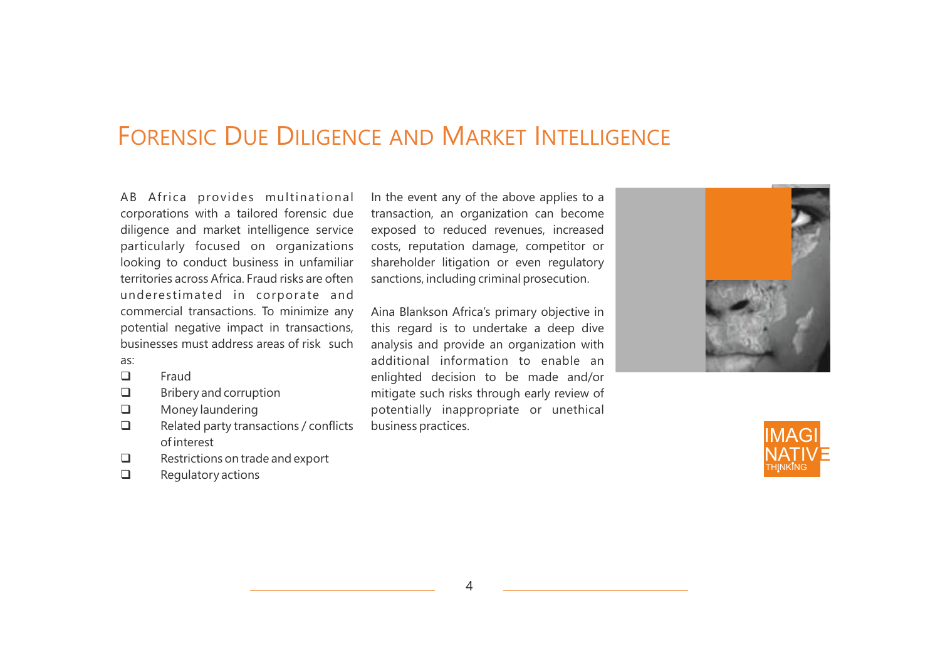### FORENSIC DUE DILIGENCE AND MARKET INTELLIGENCE

AB Africa provides multinational corporations with a tailored forensic due diligence and market intelligence service particularly focused on organizations looking to conduct business in unfamiliar territories across Africa. Fraud risks are often underestimated in corporate and commercial transactions. To minimize any potential negative impact in transactions, businesses must address areas of risk such

- as:
- $\Box$  Fraud
- $\Box$  Bribery and corruption
- **Q** Money laundering
- $\Box$  Related party transactions / conflicts of interest
- $\Box$  Restrictions on trade and export
- $\Box$  Regulatory actions

In the event any of the above applies to a transaction, an organization can become exposed to reduced revenues, increased costs, reputation damage, competitor or shareholder litigation or even regulatory sanctions, including criminal prosecution.

Aina Blankson Africa's primary objective in this regard is to undertake a deep dive analysis and provide an organization with additional information to enable an enlighted decision to be made and/or mitigate such risks through early review of potentially inappropriate or unethical business practices.



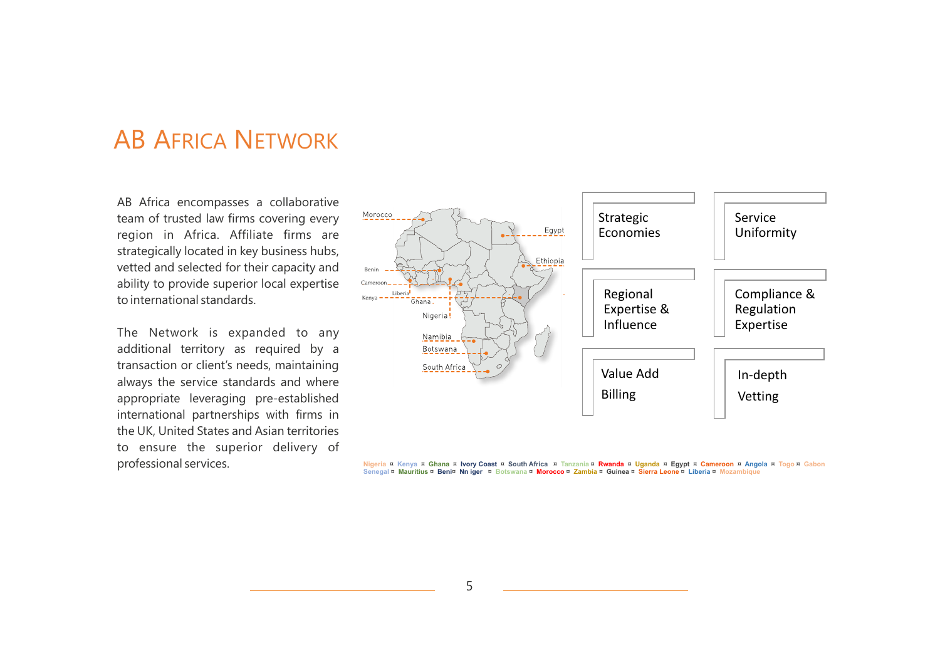### AB AFRICA NETWORK

AB Africa encompasses a collaborative team of trusted law firms covering every region in Africa. Affiliate firms are strategically located in key business hubs, vetted and selected for their capacity and ability to provide superior local expertise to international standards.

The Network is expanded to any additional territory as required by a transaction or client's needs, maintaining always the service standards and where appropriate leveraging pre-established international partnerships with firms in the UK, United States and Asian territories to ensure the superior delivery of professional services.



Nigeria ¤ Kenya ¤ Ghana ¤ Ivory Coast ¤ South Africa ¤ Tanzania ¤ <mark>Rwanda</mark> ¤ Uganda ¤ Egypt ¤ Cameroon ¤ Angola ¤ Togo ¤ Gabon.<br>Senegal ¤ <mark>Mauritius ¤ Beni¤ Nn iger ¤ Botswana ¤ Morocco ¤ Zambia ¤ Guinea ¤ Sierra Leone ¤ </mark>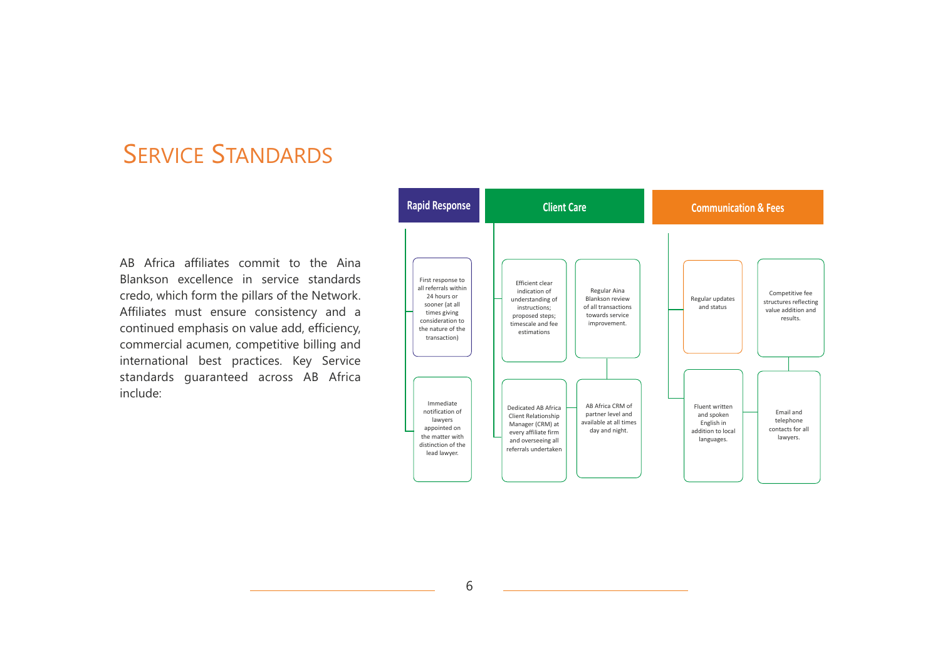### SERVICE STANDARDS

AB Africa affiliates commit to the Aina Blankson excellence in service standards credo, which form the pillars of the Network. Affiliates must ensure consistency and a continued emphasis on value add, efficiency, commercial acumen, competitive billing and international best practices. Key Service standards guaranteed across AB Africa include:

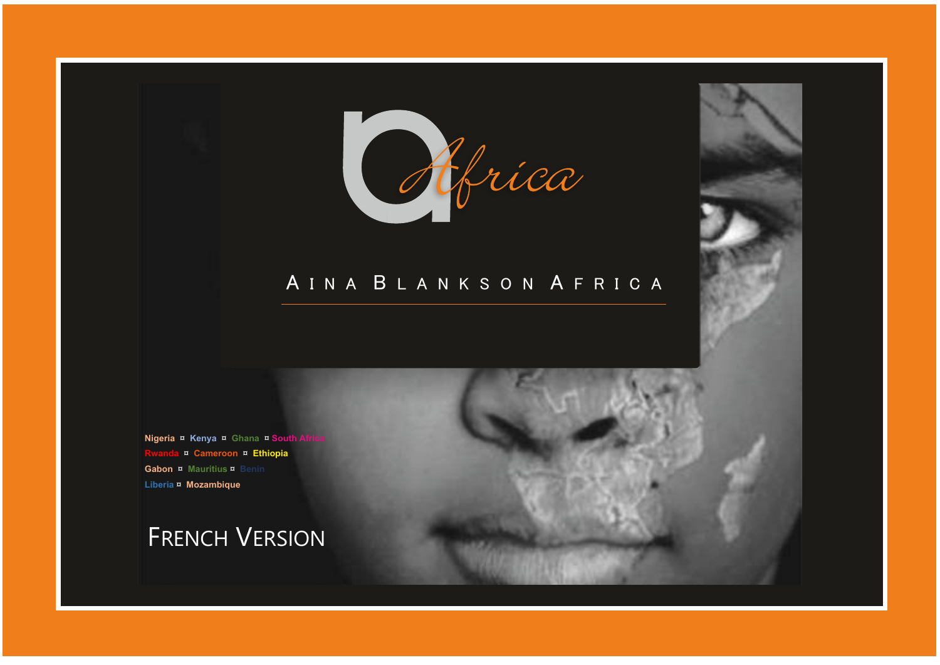

### A I N A B L A N K S O N A F R I C A

**Nigeria ¤ Kenya ¤ Ghana ¤ South A Rwanda** ¤ **Cameroon** ¤ **Ethiopia Gabon ¤ Mauritius ¤ Benin Liberia** ¤ **Mozambique**

FRENCH VERSION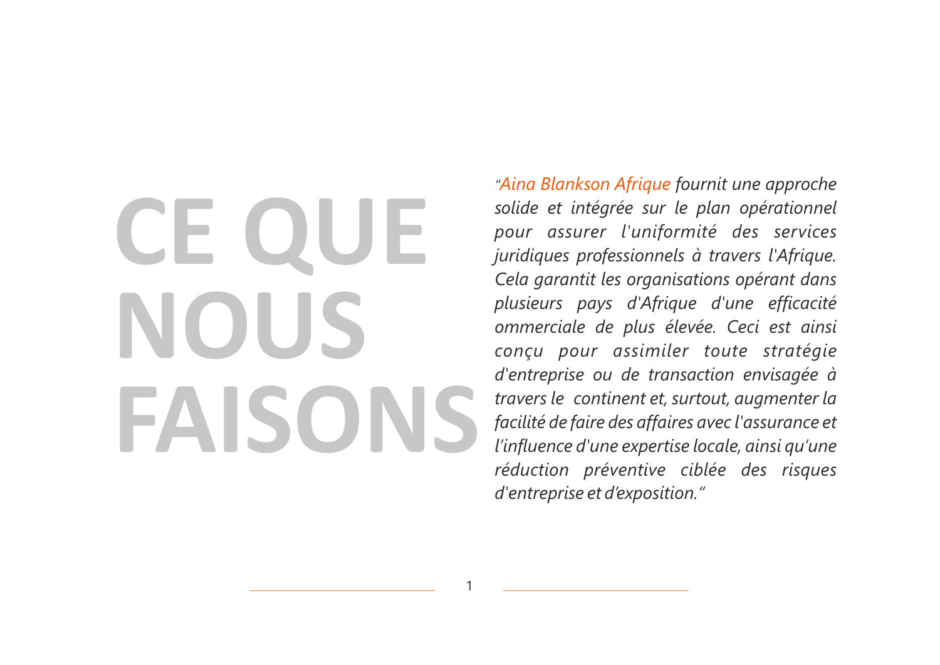## **CE QUE NOUS FAISONS**

*"Aina Blankson Afrique fournit une approche solide et intégrée sur le plan opérationnel pour assurer l'uniformité des services juridiques professionnels à travers l'Afrique. Cela garantit les organisations opérant dans plusieurs pays d'Afrique d'une efficacité ommerciale de plus élevée. Ceci est ainsi conçu pour assimiler toute stratégie d'entreprise ou de transaction envisagée à travers le continent et, surtout, augmenter la facilité de faire des affaires avec l'assurance et l'influence d'une expertise locale, ainsi qu'une réduction préventive ciblée des risques d'entreprise et d'exposition."*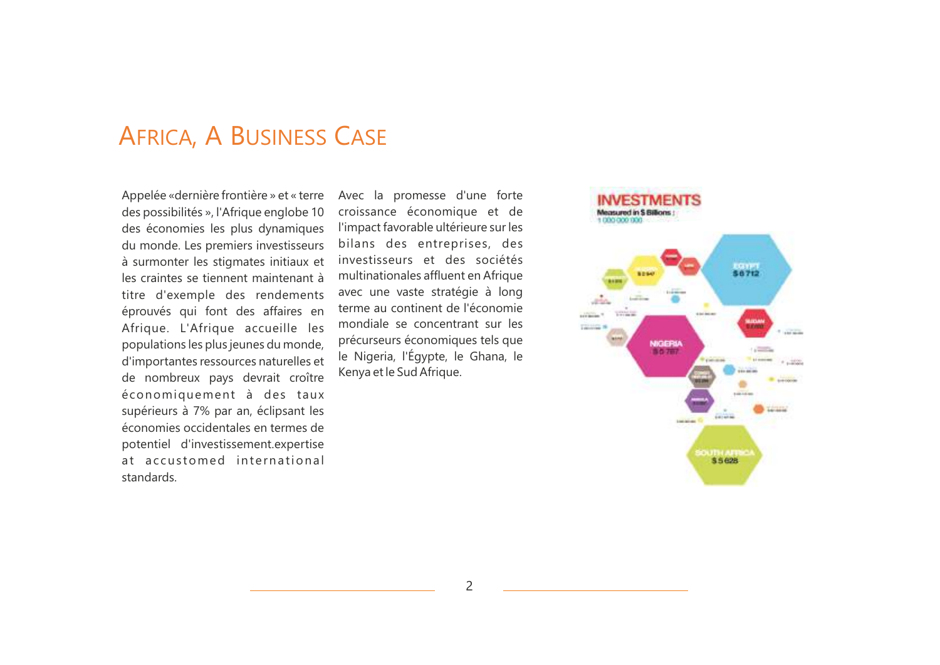### AFRICA, A BUSINESS CASE

Appelée «dernière frontière » et « terre des possibilités », l'Afrique englobe 10 des économies les plus dynamiques du monde. Les premiers investisseurs à surmonter les stigmates initiaux et les craintes se tiennent maintenant à titre d'exemple des rendements éprouvés qui font des affaires en Afrique. L'Afrique accueille les populations les plus jeunes du monde, d'importantes ressources naturelles et de nombreux pays devrait croître économiquement à des taux supérieurs à 7% par an, éclipsant les économies occidentales en termes de potentiel d'investissement.expertise at accustomed international standards.

Avec la promesse d'une forte croissance économique et de l'impact favorable ultérieure sur les bilans des entreprises, des investisseurs et des sociétés multinationales affluent en Afrique avec une vaste stratégie à long terme au continent de l'économie mondiale se concentrant sur les précurseurs économiques tels que le Nigeria, l'Égypte, le Ghana, le Kenya et le Sud Afrique.

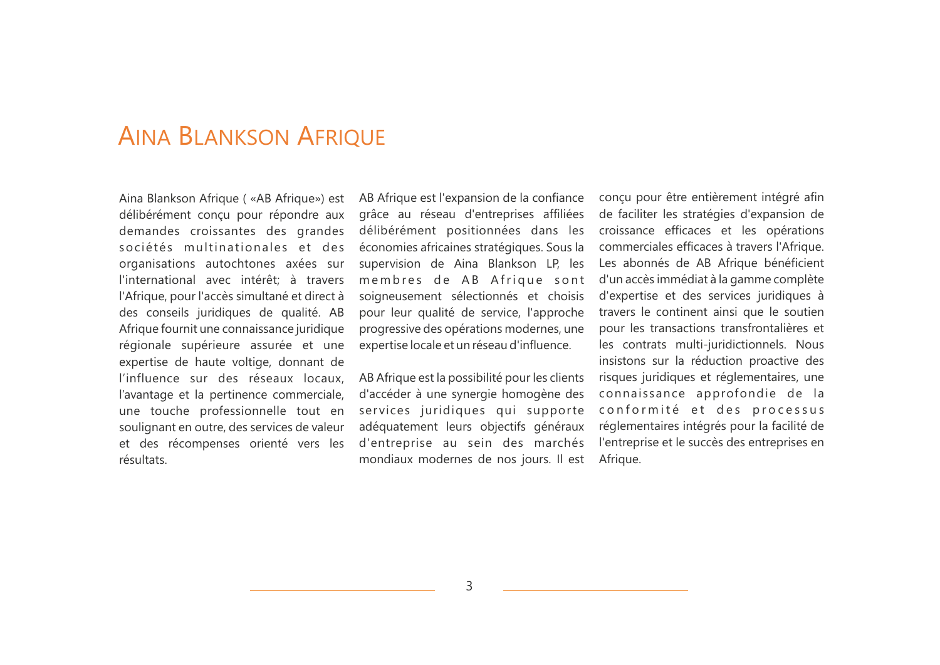### AINA BLANKSON AFRIQUE

Aina Blankson Afrique ( «AB Afrique») est délibérément conçu pour répondre aux demandes croissantes des grandes sociétés multinationales et des organisations autochtones axées sur l'international avec intérêt; à travers l'Afrique, pour l'accès simultané et direct à des conseils juridiques de qualité. AB Afrique fournit une connaissance juridique régionale supérieure assurée et une expertise de haute voltige, donnant de l'influence sur des réseaux locaux, l'avantage et la pertinence commerciale, une touche professionnelle tout en soulignant en outre, des services de valeur et des récompenses orienté vers les résultats.

AB Afrique est l'expansion de la confiance grâce au réseau d'entreprises affiliées délibérément positionnées dans les économies africaines stratégiques. Sous la supervision de Aina Blankson LP, les membres de AB Afrique sont soigneusement sélectionnés et choisis pour leur qualité de service, l'approche progressive des opérations modernes, une expertise locale et un réseau d'influence.

AB Afrique est la possibilité pour les clients d'accéder à une synergie homogène des services juridiques qui supporte adéquatement leurs objectifs généraux d'entreprise au sein des marchés mondiaux modernes de nos jours. Il est

conçu pour être entièrement intégré afin de faciliter les stratégies d'expansion de croissance efficaces et les opérations commerciales efficaces à travers l'Afrique. Les abonnés de AB Afrique bénéficient d'un accès immédiat à la gamme complète d'expertise et des services juridiques à travers le continent ainsi que le soutien pour les transactions transfrontalières et les contrats multi-juridictionnels. Nous insistons sur la réduction proactive des risques juridiques et réglementaires, une connaissance approfondie de la conformité et des processus réglementaires intégrés pour la facilité de l'entreprise et le succès des entreprises en Afrique.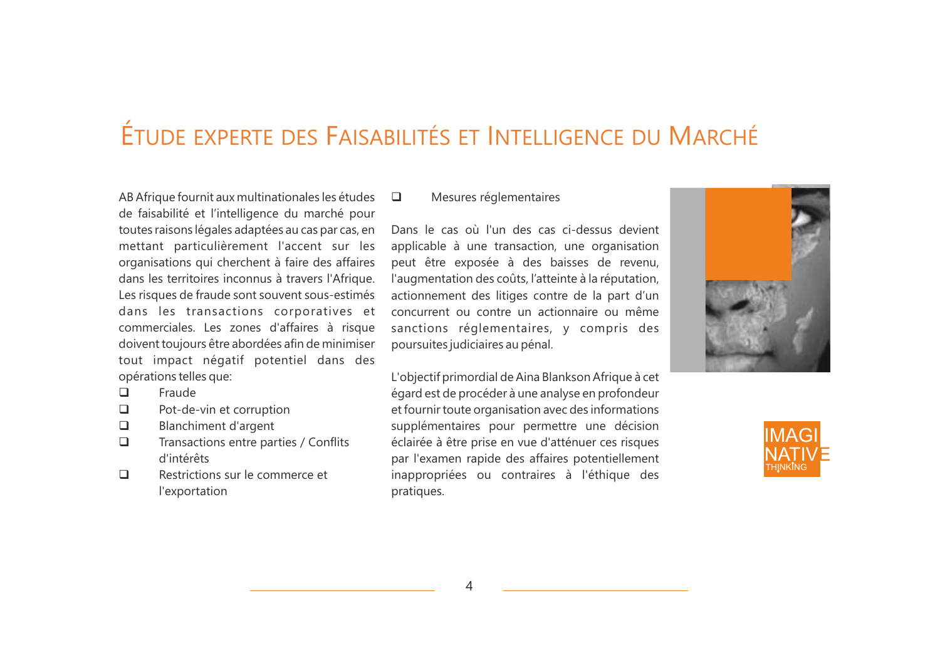### ÉTUDE EXPERTE DES FAISABILITÉS ET INTELLIGENCE DU MARCHÉ

AB Afrique fournit aux multinationales les études de faisabilité et l'intelligence du marché pour toutes raisons légales adaptées au cas par cas, en mettant particulièrement l'accent sur les organisations qui cherchent à faire des affaires dans les territoires inconnus à travers l'Afrique. Les risques de fraude sont souvent sous-estimés dans les transactions corporatives et commerciales. Les zones d'affaires à risque doivent toujours être abordées afin de minimiser tout impact négatif potentiel dans des opérations telles que:

- $\Box$  Fraude
- $\Box$  Pot-de-vin et corruption
- $\Box$  Blanchiment d'argent
- $\Box$  Transactions entre parties / Conflits d'intérêts
- $\Box$  Restrictions sur le commerce et l'exportation

#### **Q** Mesures réglementaires

Dans le cas où l'un des cas ci-dessus devient applicable à une transaction, une organisation peut être exposée à des baisses de revenu, l'augmentation des coûts, l'atteinte à la réputation, actionnement des litiges contre de la part d'un concurrent ou contre un actionnaire ou même sanctions réglementaires, y compris des poursuites judiciaires au pénal.

L'objectif primordial de Aina Blankson Afrique à cet égard est de procéder à une analyse en profondeur et fournir toute organisation avec des informations supplémentaires pour permettre une décision éclairée à être prise en vue d'atténuer ces risques par l'examen rapide des affaires potentiellement inappropriées ou contraires à l'éthique des pratiques.



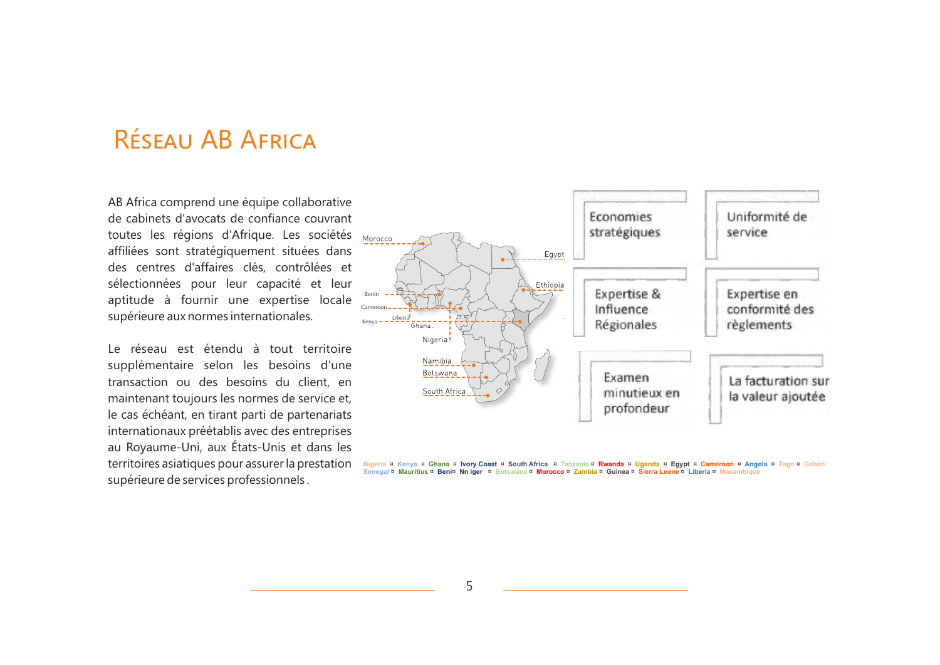### RÉSEAU AB AFRICA

AB Africa comprend une équipe collaborative de cabinets d'avocats de confiance couvrant toutes les régions d'Afrique. Les sociétés affiliées sont stratégiquement situées dans des centres d'affaires clés, contrôlées et sélectionnées pour leur capacité et leur aptitude à fournir une expertise locale supérieure aux normes internationales.

Le réseau est étendu à tout territoire supplémentaire selon les besoins d'une transaction ou des besoins du client, en maintenant toujours les normes de service et, le cas échéant, en tirant parti de partenariats internationaux préétablis avec des entreprises au Royaume-Uni, aux États-Unis et dans les territoires asiatiques pour assurer la prestation supérieure de services professionnels .



Nigeria ¤ Kenya ¤ Ghana ¤ Ivory Coast ¤ South Africa ¤ Tanzania ¤ <mark>Rwanda</mark> ¤ Uganda ¤ Egypt ¤ Cameroon ¤ Angola ¤ Togo ¤ Gabon.<br>Senegal ¤ <mark>Mauritius ¤ Beni¤ Nn iger ¤ Botswana ¤ Morocco ¤ Zambia ¤ Guinea ¤ Sierra Leone ¤ </mark>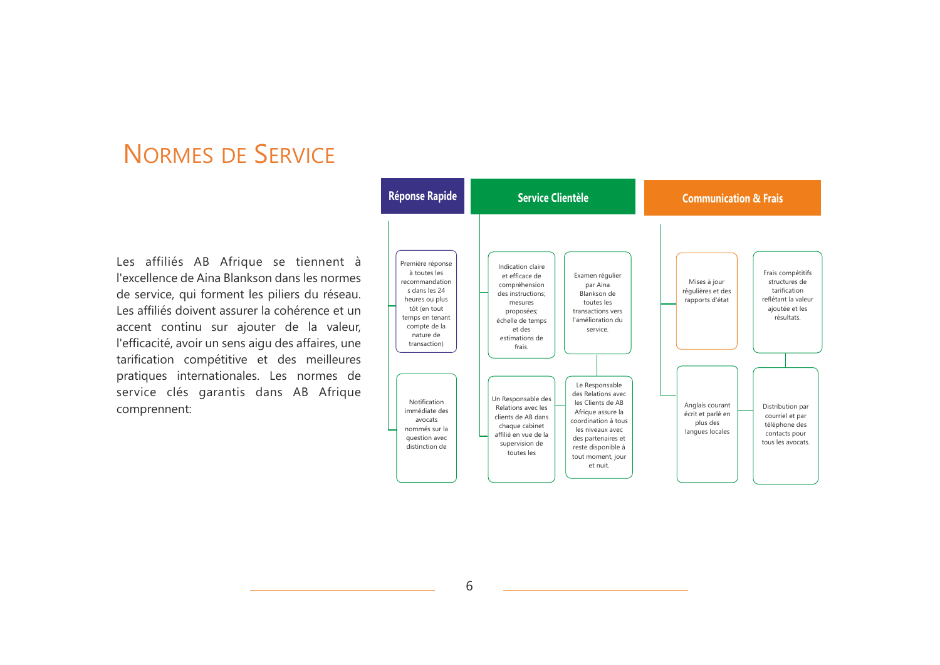### NORMES DE SERVICE

Les affiliés AB Afrique se tiennent à l'excellence de Aina Blankson dans les normes de service, qui forment les piliers du réseau. Les affiliés doivent assurer la cohérence et un accent continu sur ajouter de la valeur, l'efficacité, avoir un sens aigu des affaires, une tarification compétitive et des meilleures pratiques internationales. Les normes de service clés garantis dans AB Afrique comprennent: